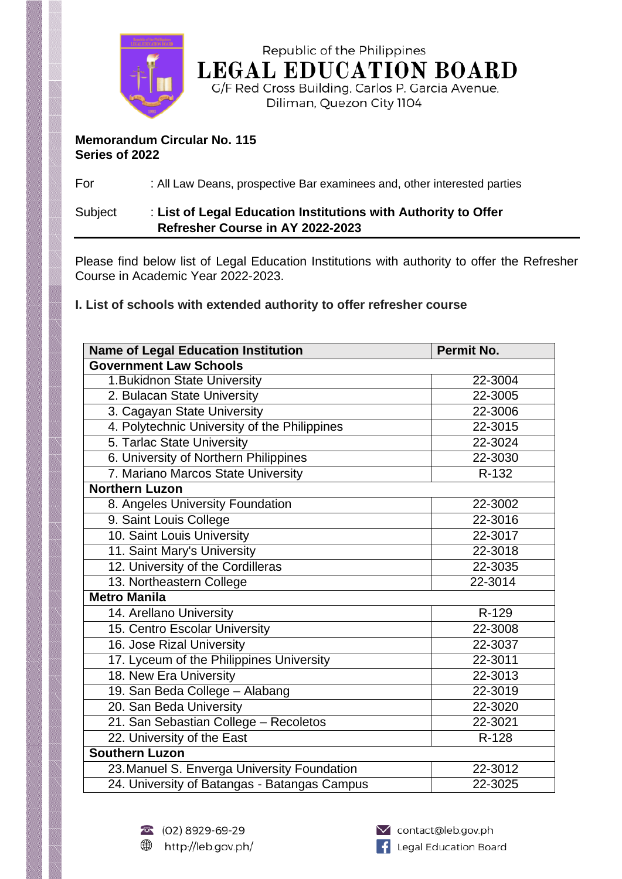

Republic of the Philippines **LEGAL EDUCATION BOARD** 

G/F Red Cross Building, Carlos P. Garcia Avenue, Diliman, Quezon City 1104

## **Memorandum Circular No. 115 Series of 2022**

For : All Law Deans, prospective Bar examinees and, other interested parties

## Subject : **List of Legal Education Institutions with Authority to Offer Refresher Course in AY 2022-2023**

Please find below list of Legal Education Institutions with authority to offer the Refresher Course in Academic Year 2022-2023.

**I. List of schools with extended authority to offer refresher course**

| <b>Name of Legal Education Institution</b>   | Permit No. |
|----------------------------------------------|------------|
| <b>Government Law Schools</b>                |            |
| 1. Bukidnon State University                 | 22-3004    |
| 2. Bulacan State University                  | 22-3005    |
| 3. Cagayan State University                  | 22-3006    |
| 4. Polytechnic University of the Philippines | 22-3015    |
| 5. Tarlac State University                   | 22-3024    |
| 6. University of Northern Philippines        | 22-3030    |
| 7. Mariano Marcos State University           | R-132      |
| <b>Northern Luzon</b>                        |            |
| 8. Angeles University Foundation             | 22-3002    |
| 9. Saint Louis College                       | 22-3016    |
| 10. Saint Louis University                   | 22-3017    |
| 11. Saint Mary's University                  | 22-3018    |
| 12. University of the Cordilleras            | 22-3035    |
| 13. Northeastern College                     | 22-3014    |
| <b>Metro Manila</b>                          |            |
| 14. Arellano University                      | R-129      |
| 15. Centro Escolar University                | 22-3008    |
| 16. Jose Rizal University                    | 22-3037    |
| 17. Lyceum of the Philippines University     | 22-3011    |
| 18. New Era University                       | 22-3013    |
| 19. San Beda College - Alabang               | 22-3019    |
| 20. San Beda University                      | 22-3020    |
| 21. San Sebastian College - Recoletos        | 22-3021    |
| 22. University of the East                   | R-128      |
| <b>Southern Luzon</b>                        |            |
| 23. Manuel S. Enverga University Foundation  | 22-3012    |
| 24. University of Batangas - Batangas Campus | 22-3025    |